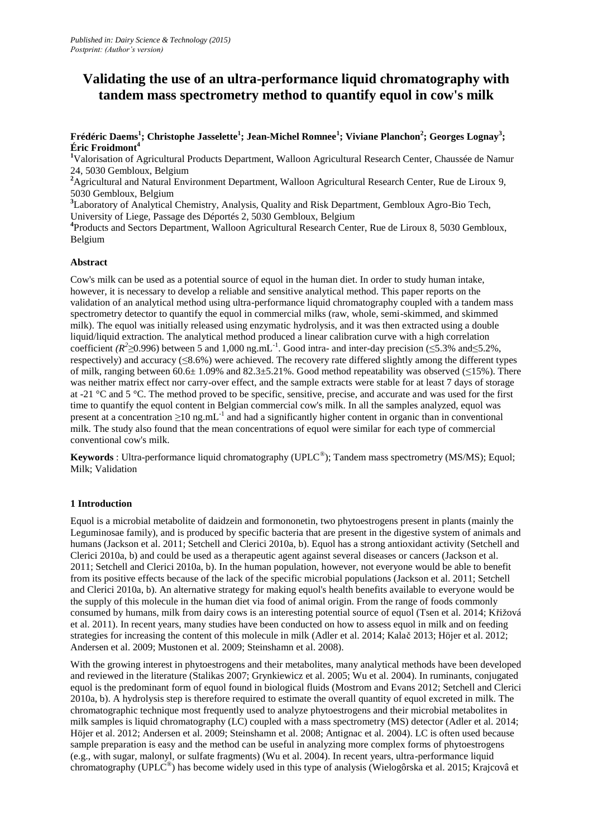# **Validating the use of an ultra-performance liquid chromatography with tandem mass spectrometry method to quantify equol in cow's milk**

**Frédéric Daems<sup>1</sup> ; Christophe Jasselette<sup>1</sup> ; Jean-Michel Romnee<sup>1</sup> ; Viviane Planchon<sup>2</sup> ; Georges Lognay<sup>3</sup> ; Éric Froidmont<sup>4</sup>**

**<sup>1</sup>**Valorisation of Agricultural Products Department, Walloon Agricultural Research Center, Chaussée de Namur 24, 5030 Gembloux, Belgium

<sup>2</sup>Agricultural and Natural Environment Department, Walloon Agricultural Research Center, Rue de Liroux 9, 5030 Gembloux, Belgium

**<sup>3</sup>**Laboratory of Analytical Chemistry, Analysis, Quality and Risk Department, Gembloux Agro-Bio Tech, University of Liege, Passage des Déportés 2, 5030 Gembloux, Belgium

<sup>4</sup> Products and Sectors Department, Walloon Agricultural Research Center, Rue de Liroux 8, 5030 Gembloux, Belgium

#### **Abstract**

Cow's milk can be used as a potential source of equol in the human diet. In order to study human intake, however, it is necessary to develop a reliable and sensitive analytical method. This paper reports on the validation of an analytical method using ultra-performance liquid chromatography coupled with a tandem mass spectrometry detector to quantify the equol in commercial milks (raw, whole, semi-skimmed, and skimmed milk). The equol was initially released using enzymatic hydrolysis, and it was then extracted using a double liquid/liquid extraction. The analytical method produced a linear calibration curve with a high correlation coefficient ( $R^2 \ge 0.996$ ) between 5 and 1,000 ng.mL<sup>-1</sup>. Good intra- and inter-day precision ( $\le 5.3\%$  and  $\le 5.2\%$ , respectively) and accuracy (≤8.6%) were achieved. The recovery rate differed slightly among the different types of milk, ranging between 60.6 $\pm$  1.09% and 82.3 $\pm$ 5.21%. Good method repeatability was observed ( $\leq$ 15%). There was neither matrix effect nor carry-over effect, and the sample extracts were stable for at least 7 days of storage at -21 °C and 5 °C. The method proved to be specific, sensitive, precise, and accurate and was used for the first time to quantify the equol content in Belgian commercial cow's milk. In all the samples analyzed, equol was present at a concentration ≥10 ng.mL<sup>-1</sup> and had a significantly higher content in organic than in conventional milk. The study also found that the mean concentrations of equol were similar for each type of commercial conventional cow's milk.

**Keywords** : Ultra-performance liquid chromatography (UPLC® ); Tandem mass spectrometry (MS/MS); Equol; Milk; Validation

#### **1 Introduction**

Equol is a microbial metabolite of daidzein and formononetin, two phytoestrogens present in plants (mainly the Leguminosae family), and is produced by specific bacteria that are present in the digestive system of animals and humans (Jackson et al. 2011; Setchell and Clerici 2010a, b). Equol has a strong antioxidant activity (Setchell and Clerici 2010a, b) and could be used as a therapeutic agent against several diseases or cancers (Jackson et al. 2011; Setchell and Clerici 2010a, b). In the human population, however, not everyone would be able to benefit from its positive effects because of the lack of the specific microbial populations (Jackson et al. 2011; Setchell and Clerici 2010a, b). An alternative strategy for making equol's health benefits available to everyone would be the supply of this molecule in the human diet via food of animal origin. From the range of foods commonly consumed by humans, milk from dairy cows is an interesting potential source of equol (Tsen et al. 2014; Křižová et al. 2011). In recent years, many studies have been conducted on how to assess equol in milk and on feeding strategies for increasing the content of this molecule in milk (Adler et al. 2014; Kalač 2013; Höjer et al. 2012; Andersen et al. 2009; Mustonen et al. 2009; Steinshamn et al. 2008).

With the growing interest in phytoestrogens and their metabolites, many analytical methods have been developed and reviewed in the literature (Stalikas 2007; Grynkiewicz et al. 2005; Wu et al. 2004). In ruminants, conjugated equol is the predominant form of equol found in biological fluids (Mostrom and Evans 2012; Setchell and Clerici 2010a, b). A hydrolysis step is therefore required to estimate the overall quantity of equol excreted in milk. The chromatographic technique most frequently used to analyze phytoestrogens and their microbial metabolites in milk samples is liquid chromatography (LC) coupled with a mass spectrometry (MS) detector (Adler et al. 2014; Höjer et al. 2012; Andersen et al. 2009; Steinshamn et al. 2008; Antignac et al. 2004). LC is often used because sample preparation is easy and the method can be useful in analyzing more complex forms of phytoestrogens (e.g., with sugar, malonyl, or sulfate fragments) (Wu et al. 2004). In recent years, ultra-performance liquid chromatography (UPLC<sup>®</sup>) has become widely used in this type of analysis (Wielogôrska et al. 2015; Krajcovâ et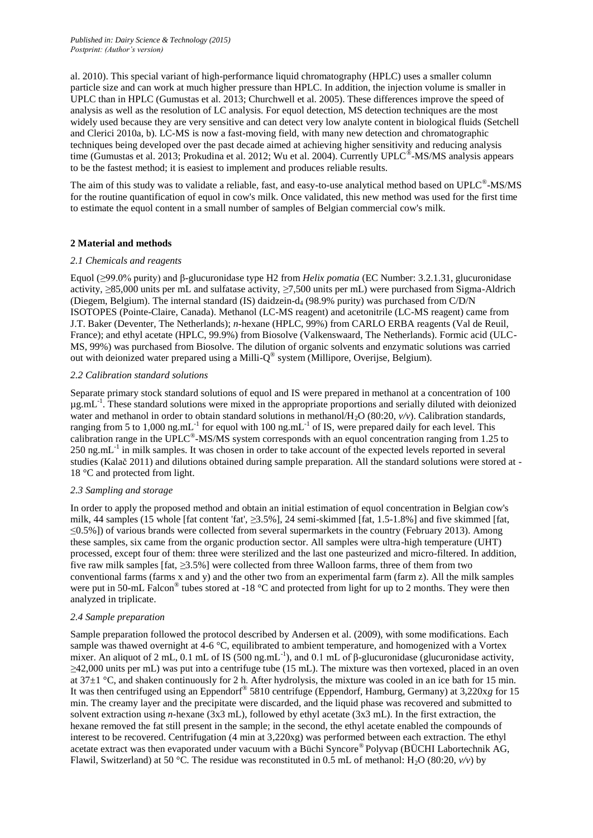al. 2010). This special variant of high-performance liquid chromatography (HPLC) uses a smaller column particle size and can work at much higher pressure than HPLC. In addition, the injection volume is smaller in UPLC than in HPLC (Gumustas et al. 2013; Churchwell et al. 2005). These differences improve the speed of analysis as well as the resolution of LC analysis. For equol detection, MS detection techniques are the most widely used because they are very sensitive and can detect very low analyte content in biological fluids (Setchell and Clerici 2010a, b). LC-MS is now a fast-moving field, with many new detection and chromatographic techniques being developed over the past decade aimed at achieving higher sensitivity and reducing analysis time (Gumustas et al. 2013; Prokudina et al. 2012; Wu et al. 2004). Currently UPLC®-MS/MS analysis appears to be the fastest method; it is easiest to implement and produces reliable results.

The aim of this study was to validate a reliable, fast, and easy-to-use analytical method based on UPLC®-MS/MS for the routine quantification of equol in cow's milk. Once validated, this new method was used for the first time to estimate the equol content in a small number of samples of Belgian commercial cow's milk.

# **2 Material and methods**

#### *2.1 Chemicals and reagents*

Equol (*≥*99.0% purity) and β-glucuronidase type H2 from *Helix pomatia* (EC Number: 3.2.1.31, glucuronidase activity, *≥*85,000 units per mL and sulfatase activity, *≥*7,500 units per mL) were purchased from Sigma-Aldrich (Diegem, Belgium). The internal standard (IS) daidzein- $d_4$  (98.9% purity) was purchased from C/D/N ISOTOPES (Pointe-Claire, Canada). Methanol (LC-MS reagent) and acetonitrile (LC-MS reagent) came from J.T. Baker (Deventer, The Netherlands); *n*-hexane (HPLC, 99%) from CARLO ERBA reagents (Val de Reuil, France); and ethyl acetate (HPLC, 99.9%) from Biosolve (Valkenswaard, The Netherlands). Formic acid (ULC-MS, 99%) was purchased from Biosolve. The dilution of organic solvents and enzymatic solutions was carried out with deionized water prepared using a Milli-Q® system (Millipore, Overijse, Belgium).

# *2.2 Calibration standard solutions*

Separate primary stock standard solutions of equol and IS were prepared in methanol at a concentration of 100  $\mu$ g.mL<sup>-1</sup>. These standard solutions were mixed in the appropriate proportions and serially diluted with deionized water and methanol in order to obtain standard solutions in methanol/H<sub>2</sub>O (80:20,  $v/v$ ). Calibration standards, ranging from 5 to 1,000 ng.mL<sup>-1</sup> for equol with 100 ng.mL<sup>-1</sup> of IS, were prepared daily for each level. This calibration range in the UPLC<sup>®</sup>-MS/MS system corresponds with an equol concentration ranging from 1.25 to 250 ng.mL<sup>-1</sup> in milk samples. It was chosen in order to take account of the expected levels reported in several studies (Kalač 2011) and dilutions obtained during sample preparation. All the standard solutions were stored at - 18 °C and protected from light.

# *2.3 Sampling and storage*

In order to apply the proposed method and obtain an initial estimation of equol concentration in Belgian cow's milk, 44 samples (15 whole [fat content 'fat', *≥*3.5%], 24 semi-skimmed [fat, 1.5-1.8%] and five skimmed [fat, ≤0.5%]) of various brands were collected from several supermarkets in the country (February 2013). Among these samples, six came from the organic production sector. All samples were ultra-high temperature (UHT) processed, except four of them: three were sterilized and the last one pasteurized and micro-filtered. In addition, five raw milk samples [fat, *≥*3.5%] were collected from three Walloon farms, three of them from two conventional farms (farms x and y) and the other two from an experimental farm (farm z). All the milk samples were put in 50-mL Falcon<sup>®</sup> tubes stored at -18 °C and protected from light for up to 2 months. They were then analyzed in triplicate.

#### *2.4 Sample preparation*

Sample preparation followed the protocol described by Andersen et al. (2009), with some modifications. Each sample was thawed overnight at 4-6 °C, equilibrated to ambient temperature, and homogenized with a Vortex mixer. An aliquot of 2 mL, 0.1 mL of IS (500 ng.mL<sup>-1</sup>), and 0.1 mL of  $\beta$ -glucuronidase (glucuronidase activity, *≥*42,000 units per mL) was put into a centrifuge tube (15 mL). The mixture was then vortexed, placed in an oven at 37±1 °C, and shaken continuously for 2 h. After hydrolysis, the mixture was cooled in an ice bath for 15 min. It was then centrifuged using an Eppendorf® 5810 centrifuge (Eppendorf, Hamburg, Germany) at 3,220x*g* for 15 min. The creamy layer and the precipitate were discarded, and the liquid phase was recovered and submitted to solvent extraction using *n*-hexane (3x3 mL), followed by ethyl acetate (3x3 mL). In the first extraction, the hexane removed the fat still present in the sample; in the second, the ethyl acetate enabled the compounds of interest to be recovered. Centrifugation (4 min at 3,220xg) was performed between each extraction. The ethyl acetate extract was then evaporated under vacuum with a Büchi Syncore® Polyvap (BÜCHI Labortechnik AG, Flawil, Switzerland) at 50 °C. The residue was reconstituted in 0.5 mL of methanol: H<sub>2</sub>O (80:20,  $v/v$ ) by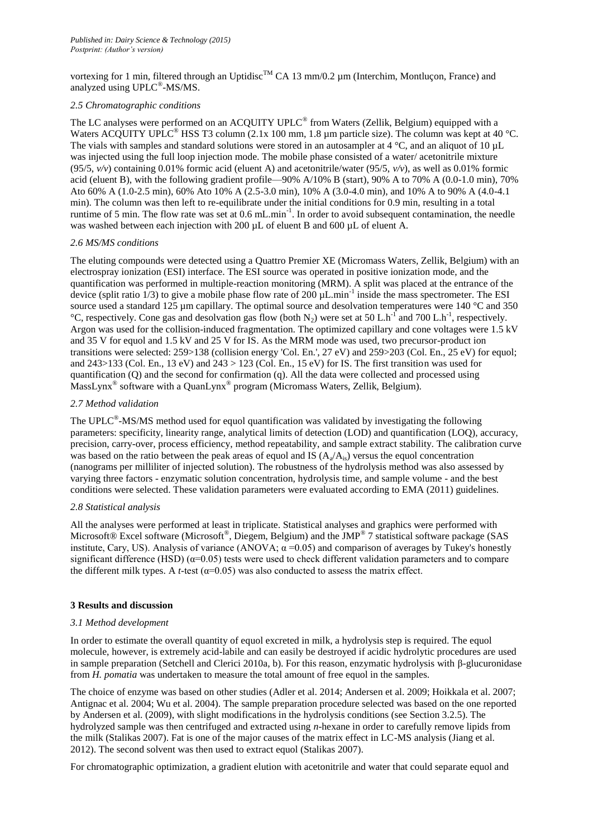vortexing for 1 min, filtered through an Uptidisc<sup>TM</sup> CA 13 mm/0.2 um (Interchim, Montlucon, France) and analyzed using UPLC®-MS/MS.

#### *2.5 Chromatographic conditions*

The LC analyses were performed on an ACQUITY UPLC<sup>®</sup> from Waters (Zellik, Belgium) equipped with a Waters ACQUITY UPLC<sup>®</sup> HSS T3 column (2.1x 100 mm, 1.8 µm particle size). The column was kept at 40 °C. The vials with samples and standard solutions were stored in an autosampler at  $4 \degree C$ , and an aliquot of 10  $\mu$ L was injected using the full loop injection mode. The mobile phase consisted of a water/ acetonitrile mixture (95/5,  $v/v$ ) containing 0.01% formic acid (eluent A) and acetonitrile/water (95/5,  $v/v$ ), as well as 0.01% formic acid (eluent B), with the following gradient profile—90% A/10% B (start), 90% A to 70% A (0.0-1.0 min), 70% Ato 60% A (1.0-2.5 min), 60% Ato 10% A (2.5-3.0 min), 10% A (3.0-4.0 min), and 10% A to 90% A (4.0-4.1 min). The column was then left to re-equilibrate under the initial conditions for 0.9 min, resulting in a total runtime of 5 min. The flow rate was set at 0.6 mL.min<sup>-1</sup>. In order to avoid subsequent contamination, the needle was washed between each injection with 200  $\mu$ L of eluent B and 600  $\mu$ L of eluent A.

#### *2.6 MS/MS conditions*

The eluting compounds were detected using a Quattro Premier XE (Micromass Waters, Zellik, Belgium) with an electrospray ionization (ESI) interface. The ESI source was operated in positive ionization mode, and the quantification was performed in multiple-reaction monitoring (MRM). A split was placed at the entrance of the device (split ratio  $1/3$ ) to give a mobile phase flow rate of 200  $\mu$ L.min<sup>-1</sup> inside the mass spectrometer. The ESI source used a standard 125 µm capillary. The optimal source and desolvation temperatures were 140 °C and 350 <sup>o</sup>C, respectively. Cone gas and desolvation gas flow (both N<sub>2</sub>) were set at 50 L.h<sup>-1</sup> and 700 L.h<sup>-1</sup>, respectively. Argon was used for the collision-induced fragmentation. The optimized capillary and cone voltages were 1.5 kV and 35 V for equol and 1.5 kV and 25 V for IS. As the MRM mode was used, two precursor-product ion transitions were selected: 259>138 (collision energy 'Col. En.', 27 eV) and 259>203 (Col. En., 25 eV) for equol; and 243>133 (Col. En., 13 eV) and 243 > 123 (Col. En., 15 eV) for IS. The first transition was used for quantification (Q) and the second for confirmation (q). All the data were collected and processed using MassLynx<sup>®</sup> software with a QuanLynx<sup>®</sup> program (Micromass Waters, Zellik, Belgium).

# *2.7 Method validation*

The UPLC<sup>®</sup>-MS/MS method used for equol quantification was validated by investigating the following parameters: specificity, linearity range, analytical limits of detection (LOD) and quantification (LOQ), accuracy, precision, carry-over, process efficiency, method repeatability, and sample extract stability. The calibration curve was based on the ratio between the peak areas of equol and IS  $(A_a/A_{is})$  versus the equol concentration (nanograms per milliliter of injected solution). The robustness of the hydrolysis method was also assessed by varying three factors - enzymatic solution concentration, hydrolysis time, and sample volume - and the best conditions were selected. These validation parameters were evaluated according to EMA (2011) guidelines.

#### *2.8 Statistical analysis*

All the analyses were performed at least in triplicate. Statistical analyses and graphics were performed with Microsoft® Excel software (Microsoft®, Diegem, Belgium) and the JMP® 7 statistical software package (SAS institute, Cary, US). Analysis of variance (ANOVA;  $\alpha$  =0.05) and comparison of averages by Tukey's honestly significant difference (HSD) ( $\alpha$ =0.05) tests were used to check different validation parameters and to compare the different milk types. A *t*-test ( $\alpha$ =0.05) was also conducted to assess the matrix effect.

#### **3 Results and discussion**

#### *3.1 Method development*

In order to estimate the overall quantity of equol excreted in milk, a hydrolysis step is required. The equol molecule, however, is extremely acid-labile and can easily be destroyed if acidic hydrolytic procedures are used in sample preparation (Setchell and Clerici 2010a, b). For this reason, enzymatic hydrolysis with β-glucuronidase from *H. pomatia* was undertaken to measure the total amount of free equol in the samples.

The choice of enzyme was based on other studies (Adler et al. 2014; Andersen et al. 2009; Hoikkala et al. 2007; Antignac et al. 2004; Wu et al. 2004). The sample preparation procedure selected was based on the one reported by Andersen et al. (2009), with slight modifications in the hydrolysis conditions (see Section 3.2.5). The hydrolyzed sample was then centrifuged and extracted using *n*-hexane in order to carefully remove lipids from the milk (Stalikas 2007). Fat is one of the major causes of the matrix effect in LC-MS analysis (Jiang et al. 2012). The second solvent was then used to extract equol (Stalikas 2007).

For chromatographic optimization, a gradient elution with acetonitrile and water that could separate equol and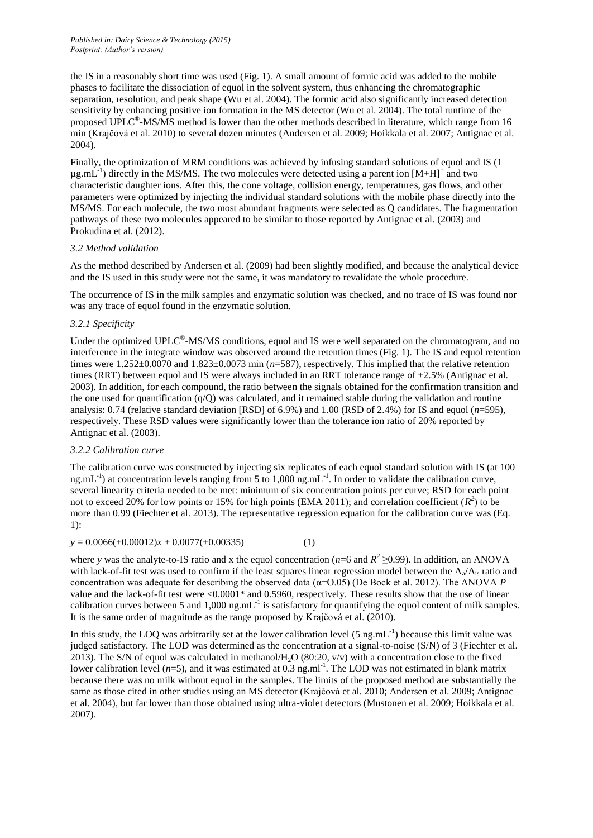the IS in a reasonably short time was used (Fig. 1). A small amount of formic acid was added to the mobile phases to facilitate the dissociation of equol in the solvent system, thus enhancing the chromatographic separation, resolution, and peak shape (Wu et al. 2004). The formic acid also significantly increased detection sensitivity by enhancing positive ion formation in the MS detector (Wu et al. 2004). The total runtime of the proposed UPLC<sup>®</sup>-MS/MS method is lower than the other methods described in literature, which range from 16 min (Krajčová et al. 2010) to several dozen minutes (Andersen et al. 2009; Hoikkala et al. 2007; Antignac et al. 2004).

Finally, the optimization of MRM conditions was achieved by infusing standard solutions of equol and IS (1  $\mu$ g.mL<sup>-1</sup>) directly in the MS/MS. The two molecules were detected using a parent ion [M+H]<sup>+</sup> and two characteristic daughter ions. After this, the cone voltage, collision energy, temperatures, gas flows, and other parameters were optimized by injecting the individual standard solutions with the mobile phase directly into the MS/MS. For each molecule, the two most abundant fragments were selected as Q candidates. The fragmentation pathways of these two molecules appeared to be similar to those reported by Antignac et al. (2003) and Prokudina et al. (2012).

#### *3.2 Method validation*

As the method described by Andersen et al. (2009) had been slightly modified, and because the analytical device and the IS used in this study were not the same, it was mandatory to revalidate the whole procedure.

The occurrence of IS in the milk samples and enzymatic solution was checked, and no trace of IS was found nor was any trace of equol found in the enzymatic solution.

# *3.2.1 Specificity*

Under the optimized UPLC<sup>®</sup>-MS/MS conditions, equol and IS were well separated on the chromatogram, and no interference in the integrate window was observed around the retention times (Fig. 1). The IS and equol retention times were  $1.252\pm0.0070$  and  $1.823\pm0.0073$  min (*n*=587), respectively. This implied that the relative retention times (RRT) between equol and IS were always included in an RRT tolerance range of  $\pm 2.5$ % (Antignac et al. 2003). In addition, for each compound, the ratio between the signals obtained for the confirmation transition and the one used for quantification  $(q/O)$  was calculated, and it remained stable during the validation and routine analysis: 0.74 (relative standard deviation [RSD] of 6.9%) and 1.00 (RSD of 2.4%) for IS and equol (*n*=595), respectively. These RSD values were significantly lower than the tolerance ion ratio of 20% reported by Antignac et al. (2003).

#### *3.2.2 Calibration curve*

The calibration curve was constructed by injecting six replicates of each equol standard solution with IS (at 100 ng.mL<sup>-1</sup>) at concentration levels ranging from 5 to 1,000 ng.mL<sup>-1</sup>. In order to validate the calibration curve, several linearity criteria needed to be met: minimum of six concentration points per curve; RSD for each point not to exceed 20% for low points or 15% for high points (EMA 2011); and correlation coefficient  $(R^2)$  to be more than 0.99 (Fiechter et al. 2013). The representative regression equation for the calibration curve was (Eq. 1):

$$
y = 0.0066(\pm 0.00012)x + 0.0077(\pm 0.00335)
$$
 (1)

where *y* was the analyte-to-IS ratio and x the equol concentration ( $n=6$  and  $R^2 \ge 0.99$ ). In addition, an ANOVA with lack-of-fit test was used to confirm if the least squares linear regression model between the  $A_a/A_i$  ratio and concentration was adequate for describing the observed data (α=O.05) (De Bock et al. 2012). The ANOVA *P*  value and the lack-of-fit test were <0.0001\* and 0.5960, respectively. These results show that the use of linear calibration curves between 5 and 1,000  $ng.mL^{-1}$  is satisfactory for quantifying the equol content of milk samples. It is the same order of magnitude as the range proposed by Krajčová et al. (2010).

In this study, the LOQ was arbitrarily set at the lower calibration level  $(5 \text{ ng.mL}^{-1})$  because this limit value was judged satisfactory. The LOD was determined as the concentration at a signal-to-noise (S/N) of 3 (Fiechter et al. 2013). The S/N of equol was calculated in methanol/H<sub>2</sub>O (80:20,  $v/v$ ) with a concentration close to the fixed lower calibration level  $(n=5)$ , and it was estimated at 0.3 ng.ml<sup>-1</sup>. The LOD was not estimated in blank matrix because there was no milk without equol in the samples. The limits of the proposed method are substantially the same as those cited in other studies using an MS detector (Krajčová et al. 2010; Andersen et al. 2009; Antignac et al. 2004), but far lower than those obtained using ultra-violet detectors (Mustonen et al. 2009; Hoikkala et al. 2007).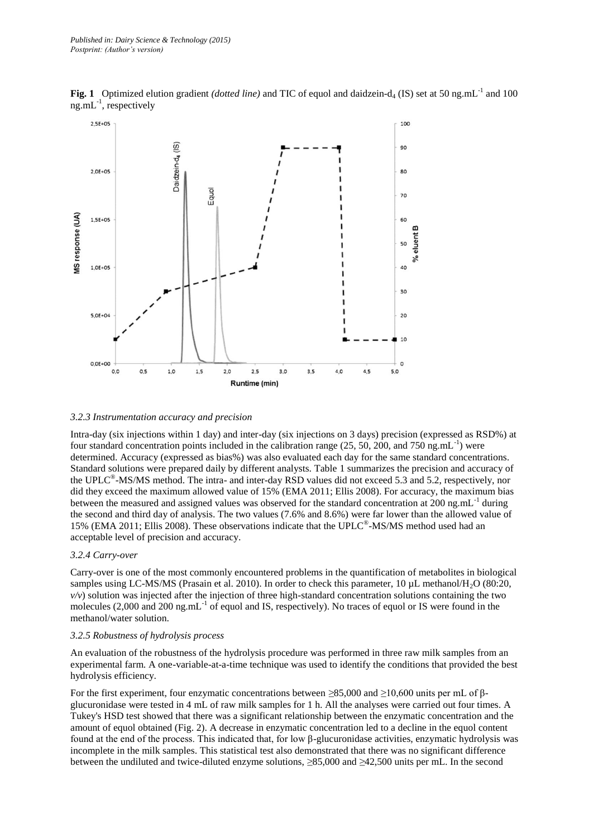

**Fig. 1** Optimized elution gradient *(dotted line)* and TIC of equol and daidzein-d<sub>4</sub> (IS) set at 50 ng.mL<sup>-1</sup> and 100 ng.mL<sup>-1</sup>, respectively

#### *3.2.3 Instrumentation accuracy and precision*

Intra-day (six injections within 1 day) and inter-day (six injections on 3 days) precision (expressed as RSD%) at four standard concentration points included in the calibration range  $(25, 50, 200, \text{ and } 750 \text{ ng.mL}^{-1})$  were determined. Accuracy (expressed as bias%) was also evaluated each day for the same standard concentrations. Standard solutions were prepared daily by different analysts. Table 1 summarizes the precision and accuracy of the UPLC<sup>®</sup>-MS/MS method. The intra- and inter-day RSD values did not exceed 5.3 and 5.2, respectively, nor did they exceed the maximum allowed value of 15% (EMA 2011; Ellis 2008). For accuracy, the maximum bias between the measured and assigned values was observed for the standard concentration at  $200$  ng.mL<sup>-1</sup> during the second and third day of analysis. The two values (7.6% and 8.6%) were far lower than the allowed value of 15% (EMA 2011; Ellis 2008). These observations indicate that the UPLC® -MS/MS method used had an acceptable level of precision and accuracy.

#### *3.2.4 Carry-over*

Carry-over is one of the most commonly encountered problems in the quantification of metabolites in biological samples using LC-MS/MS (Prasain et al. 2010). In order to check this parameter, 10 µL methanol/H<sub>2</sub>O (80:20,  $v/v$ ) solution was injected after the injection of three high-standard concentration solutions containing the two molecules (2,000 and 200 ng.mL<sup>-1</sup> of equol and IS, respectively). No traces of equol or IS were found in the methanol/water solution.

#### *3.2.5 Robustness of hydrolysis process*

An evaluation of the robustness of the hydrolysis procedure was performed in three raw milk samples from an experimental farm. A one-variable-at-a-time technique was used to identify the conditions that provided the best hydrolysis efficiency.

For the first experiment, four enzymatic concentrations between *≥*85,000 and *≥*10,600 units per mL of βglucuronidase were tested in 4 mL of raw milk samples for 1 h. All the analyses were carried out four times. A Tukey's HSD test showed that there was a significant relationship between the enzymatic concentration and the amount of equol obtained (Fig. 2). A decrease in enzymatic concentration led to a decline in the equol content found at the end of the process. This indicated that, for low β-glucuronidase activities, enzymatic hydrolysis was incomplete in the milk samples. This statistical test also demonstrated that there was no significant difference between the undiluted and twice-diluted enzyme solutions, *≥*85,000 and *≥*42,500 units per mL. In the second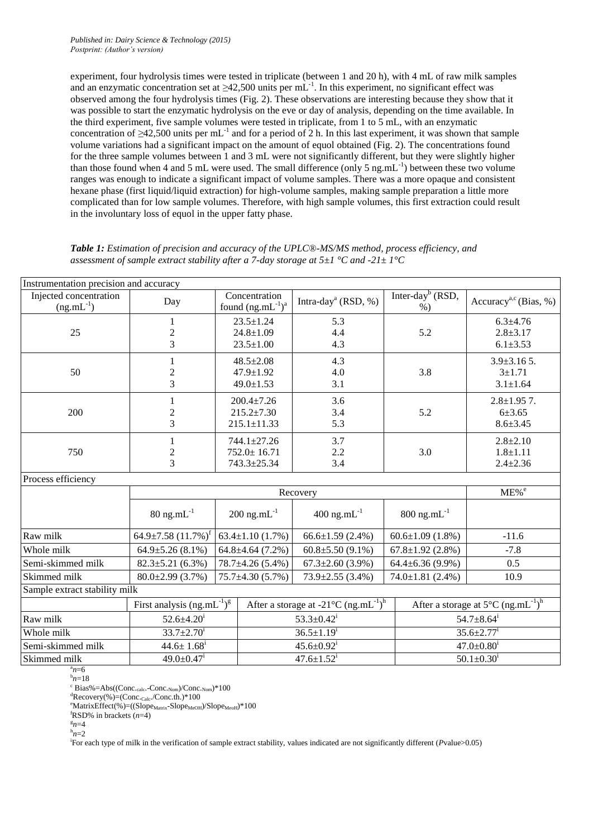experiment, four hydrolysis times were tested in triplicate (between 1 and 20 h), with 4 mL of raw milk samples and an enzymatic concentration set at ≥42,500 units per mL<sup>-1</sup>. In this experiment, no significant effect was observed among the four hydrolysis times (Fig. 2). These observations are interesting because they show that it was possible to start the enzymatic hydrolysis on the eve or day of analysis, depending on the time available. In the third experiment, five sample volumes were tested in triplicate, from 1 to 5 mL, with an enzymatic concentration of  $\geq 42,500$  units per mL<sup>-1</sup> and for a period of 2 h. In this last experiment, it was shown that sample volume variations had a significant impact on the amount of equol obtained (Fig. 2). The concentrations found for the three sample volumes between 1 and 3 mL were not significantly different, but they were slightly higher than those found when 4 and 5 mL were used. The small difference (only 5  $ng.mL^{-1}$ ) between these two volume ranges was enough to indicate a significant impact of volume samples. There was a more opaque and consistent hexane phase (first liquid/liquid extraction) for high-volume samples, making sample preparation a little more complicated than for low sample volumes. Therefore, with high sample volumes, this first extraction could result in the involuntary loss of equol in the upper fatty phase.

| Instrumentation precision and accuracy   |                                                              |                                                           |                                                                                                                  |                                       |                                                   |  |
|------------------------------------------|--------------------------------------------------------------|-----------------------------------------------------------|------------------------------------------------------------------------------------------------------------------|---------------------------------------|---------------------------------------------------|--|
| Injected concentration<br>$(ng.mL^{-1})$ | Day                                                          | Concentration<br>found $(ng.mL^{-1})^a$                   | Intra-day <sup>a</sup> (RSD, %)                                                                                  | Inter-day <sup>b</sup> (RSD,<br>$%$ ) | Accuracy <sup>a,c</sup> (Bias, %)                 |  |
| 25                                       | $\mathbf{1}$<br>$\overline{c}$<br>3                          | $23.5 \pm 1.24$<br>$24.8 \pm 1.09$<br>$23.5 \pm 1.00$     | 5.3<br>4.4<br>4.3                                                                                                | 5.2                                   | $6.3 \pm 4.76$<br>$2.8 + 3.17$<br>$6.1 \pm 3.53$  |  |
|                                          |                                                              |                                                           |                                                                                                                  |                                       |                                                   |  |
| 50                                       | 1<br>$\sqrt{2}$<br>3                                         | $48.5 \pm 2.08$<br>$47.9 \pm 1.92$<br>$49.0 \pm 1.53$     | 4.3<br>4.0<br>3.1                                                                                                | 3.8                                   | $3.9 \pm 3.165$ .<br>$3 + 1.71$<br>$3.1 \pm 1.64$ |  |
| 200                                      | 1<br>$\frac{2}{3}$                                           | $200.4 \pm 7.26$<br>$215.2 \pm 7.30$<br>$215.1 \pm 11.33$ | 3.6<br>3.4<br>5.3                                                                                                | 5.2                                   | $2.8 \pm 1.95$ 7.<br>6±3.65<br>$8.6 \pm 3.45$     |  |
| 750                                      | 1<br>$\sqrt{2}$<br>$\overline{3}$                            | 744.1±27.26<br>$752.0 \pm 16.71$<br>743.3±25.34           | 3.7<br>2.2<br>3.4                                                                                                | 3.0                                   | $2.8 + 2.10$<br>$1.8 + 1.11$<br>$2.4 \pm 2.36$    |  |
| Process efficiency                       |                                                              |                                                           |                                                                                                                  |                                       |                                                   |  |
|                                          | Recovery                                                     |                                                           |                                                                                                                  |                                       | $ME\%$ <sup>e</sup>                               |  |
|                                          | $80$ ng.mL $^{-1}$                                           | $200$ ng.mL $^{-1}$                                       | $400$ ng.mL $^{-1}$                                                                                              | $800$ ng.mL $^{-1}$                   |                                                   |  |
| Raw milk                                 | 64.9±7.58 $(11.7\%)$ <sup>1</sup>                            | $63.4 \pm 1.10(1.7\%)$                                    | $66.6 \pm 1.59$ (2.4%)                                                                                           | $60.6 \pm 1.09$ (1.8%)                | $-11.6$                                           |  |
| Whole milk                               | $64.9 \pm 5.26$ (8.1%)                                       | $64.8 \pm 4.64$ (7.2%)                                    | $60.8 \pm 5.50(9.1\%)$                                                                                           | $67.8 \pm 1.92$ (2.8%)                | $-7.8$                                            |  |
| Semi-skimmed milk                        | $82.3 \pm 5.21(6.3\%)$                                       | 78.7±4.26 (5.4%)                                          | $67.3 \pm 2.60$ (3.9%)                                                                                           | $64.4 \pm 6.36(9.9\%)$                | 0.5                                               |  |
| Skimmed milk                             | $80.0 \pm 2.99$ (3.7%)                                       | $75.7 \pm 4.30(5.7\%)$                                    | $73.9 \pm 2.55$ (3.4%)                                                                                           | $74.0 \pm 1.81$ (2.4%)                | 10.9                                              |  |
| Sample extract stability milk            |                                                              |                                                           |                                                                                                                  |                                       |                                                   |  |
|                                          | First analysis $(ng.mL^{-1})^g$                              |                                                           | After a storage at -21°C $(ng.mL^{-1})^h$<br>After a storage at $5^{\circ}C$ (ng.mL <sup>-1</sup> ) <sup>h</sup> |                                       |                                                   |  |
| Raw milk                                 | $52.6 \pm 4.20^1$                                            |                                                           | $53.3 \pm 0.42$ <sup>i</sup>                                                                                     | $54.7 \pm 8.64^{\text{i}}$            |                                                   |  |
| Whole milk                               | $33.7 \pm 2.70^1$                                            |                                                           | $36.5 \pm 1.19$ <sup>1</sup>                                                                                     |                                       | $35.6 \pm 2.77$ <sup>1</sup>                      |  |
| Semi-skimmed milk                        | $44.6 \pm 1.68$ <sup>i</sup>                                 |                                                           | $45.6 \pm 0.92$ <sup>i</sup>                                                                                     | $47.0 \pm 0.80^1$                     |                                                   |  |
| Skimmed milk<br>$n=6$                    | $49.0 \pm 0.47$ <sup>i</sup><br>$47.6 \pm 1.52$ <sup>i</sup> |                                                           |                                                                                                                  | $50.1 \pm 0.30^1$                     |                                                   |  |

*Table 1: Estimation of precision and accuracy of the UPLC®-MS/MS method, process efficiency, and assessment of sample extract stability after a 7-day storage at 5±1 °C and -21± 1°C*

 $h_{n=18}$ 

 $c$  Bias%=Abs((Conc.<sub>calc</sub>.-Conc.<sub>Nom</sub>)/Conc.<sub>Nom</sub>)\*100

 ${}^{d}$ Recovery(%)=(Conc.<sub>Calc</sub>./Conc.th.)\*100

 $e^{e}$ MatrixEffect(%)=((Slope<sub>Matrix</sub>-Slope<sub>MeOH</sub>)/Slope<sub>MeoH</sub>)\*100

 $f$ RSD% in brackets  $(n=4)$ 

 $n=4$ 

 $h_{n=2}$ 

i For each type of milk in the verification of sample extract stability, values indicated are not significantly different (*P*value>0.05)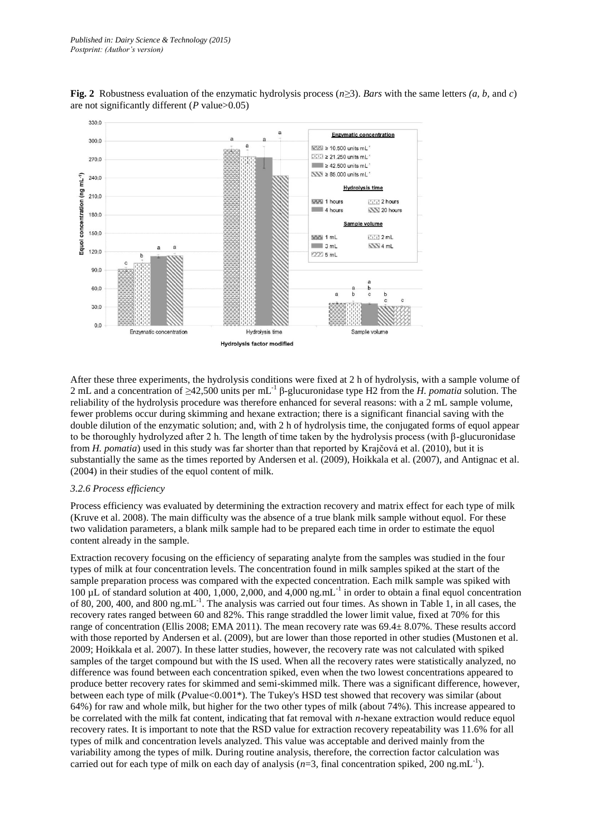

**Fig. 2** Robustness evaluation of the enzymatic hydrolysis process (*n≥*3). *Bars* with the same letters *(a, b,* and *c*) are not significantly different (*P* value>0.05)

After these three experiments, the hydrolysis conditions were fixed at 2 h of hydrolysis, with a sample volume of 2 mL and a concentration of *≥*42,500 units per mL-1 β-glucuronidase type H2 from the *H. pomatia* solution. The reliability of the hydrolysis procedure was therefore enhanced for several reasons: with a 2 mL sample volume, fewer problems occur during skimming and hexane extraction; there is a significant financial saving with the double dilution of the enzymatic solution; and, with 2 h of hydrolysis time, the conjugated forms of equol appear to be thoroughly hydrolyzed after 2 h. The length of time taken by the hydrolysis process (with  $\beta$ -glucuronidase from *H. pomatia*) used in this study was far shorter than that reported by Krajčová et al. (2010), but it is substantially the same as the times reported by Andersen et al. (2009), Hoikkala et al. (2007), and Antignac et al. (2004) in their studies of the equol content of milk.

#### *3.2.6 Process efficiency*

Process efficiency was evaluated by determining the extraction recovery and matrix effect for each type of milk (Kruve et al. 2008). The main difficulty was the absence of a true blank milk sample without equol. For these two validation parameters, a blank milk sample had to be prepared each time in order to estimate the equol content already in the sample.

Extraction recovery focusing on the efficiency of separating analyte from the samples was studied in the four types of milk at four concentration levels. The concentration found in milk samples spiked at the start of the sample preparation process was compared with the expected concentration. Each milk sample was spiked with 100 µL of standard solution at 400, 1,000, 2,000, and 4,000 ng.mL-1 in order to obtain a final equol concentration of 80, 200, 400, and 800 ng.mL $^{-1}$ . The analysis was carried out four times. As shown in Table 1, in all cases, the recovery rates ranged between 60 and 82%. This range straddled the lower limit value, fixed at 70% for this range of concentration (Ellis 2008; EMA 2011). The mean recovery rate was 69.4± 8.07%. These results accord with those reported by Andersen et al. (2009), but are lower than those reported in other studies (Mustonen et al. 2009; Hoikkala et al. 2007). In these latter studies, however, the recovery rate was not calculated with spiked samples of the target compound but with the IS used. When all the recovery rates were statistically analyzed, no difference was found between each concentration spiked, even when the two lowest concentrations appeared to produce better recovery rates for skimmed and semi-skimmed milk. There was a significant difference, however, between each type of milk (*P*value<0.001\*). The Tukey's HSD test showed that recovery was similar (about 64%) for raw and whole milk, but higher for the two other types of milk (about 74%). This increase appeared to be correlated with the milk fat content, indicating that fat removal with *n*-hexane extraction would reduce equol recovery rates. It is important to note that the RSD value for extraction recovery repeatability was 11.6% for all types of milk and concentration levels analyzed. This value was acceptable and derived mainly from the variability among the types of milk. During routine analysis, therefore, the correction factor calculation was carried out for each type of milk on each day of analysis  $(n=3, \text{ final concentration spiked}, 200 \text{ ng.mL}^{-1})$ .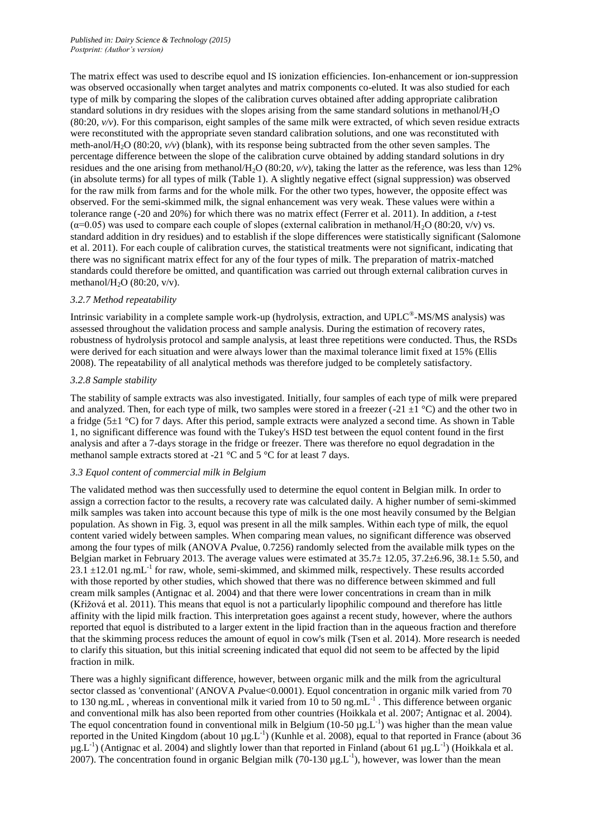The matrix effect was used to describe equol and IS ionization efficiencies. Ion-enhancement or ion-suppression was observed occasionally when target analytes and matrix components co-eluted. It was also studied for each type of milk by comparing the slopes of the calibration curves obtained after adding appropriate calibration standard solutions in dry residues with the slopes arising from the same standard solutions in methanol/H2O (80:20, *v/v*). For this comparison, eight samples of the same milk were extracted, of which seven residue extracts were reconstituted with the appropriate seven standard calibration solutions, and one was reconstituted with meth-anol/H2O (80:20, *v/v*) (blank), with its response being subtracted from the other seven samples. The percentage difference between the slope of the calibration curve obtained by adding standard solutions in dry residues and the one arising from methanol/H<sub>2</sub>O (80:20,  $v/v$ ), taking the latter as the reference, was less than 12% (in absolute terms) for all types of milk (Table 1). A slightly negative effect (signal suppression) was observed for the raw milk from farms and for the whole milk. For the other two types, however, the opposite effect was observed. For the semi-skimmed milk, the signal enhancement was very weak. These values were within a tolerance range (-20 and 20%) for which there was no matrix effect (Ferrer et al. 2011). In addition, a *t*-test  $(\alpha=0.05)$  was used to compare each couple of slopes (external calibration in methanol/H<sub>2</sub>O (80:20, v/v) vs. standard addition in dry residues) and to establish if the slope differences were statistically significant (Salomone et al. 2011). For each couple of calibration curves, the statistical treatments were not significant, indicating that there was no significant matrix effect for any of the four types of milk. The preparation of matrix-matched standards could therefore be omitted, and quantification was carried out through external calibration curves in methanol/H<sub>2</sub>O (80:20, v/v).

#### *3.2.7 Method repeatability*

Intrinsic variability in a complete sample work-up (hydrolysis, extraction, and UPLC<sup>®</sup>-MS/MS analysis) was assessed throughout the validation process and sample analysis. During the estimation of recovery rates, robustness of hydrolysis protocol and sample analysis, at least three repetitions were conducted. Thus, the RSDs were derived for each situation and were always lower than the maximal tolerance limit fixed at 15% (Ellis 2008). The repeatability of all analytical methods was therefore judged to be completely satisfactory.

#### *3.2.8 Sample stability*

The stability of sample extracts was also investigated. Initially, four samples of each type of milk were prepared and analyzed. Then, for each type of milk, two samples were stored in a freezer (-21  $\pm$ 1 °C) and the other two in a fridge (5 $\pm$ 1 °C) for 7 days. After this period, sample extracts were analyzed a second time. As shown in Table 1, no significant difference was found with the Tukey's HSD test between the equol content found in the first analysis and after a 7-days storage in the fridge or freezer. There was therefore no equol degradation in the methanol sample extracts stored at -21 °C and 5 °C for at least 7 days.

#### *3.3 Equol content of commercial milk in Belgium*

The validated method was then successfully used to determine the equol content in Belgian milk. In order to assign a correction factor to the results, a recovery rate was calculated daily. A higher number of semi-skimmed milk samples was taken into account because this type of milk is the one most heavily consumed by the Belgian population. As shown in Fig. 3, equol was present in all the milk samples. Within each type of milk, the equol content varied widely between samples. When comparing mean values, no significant difference was observed among the four types of milk (ANOVA *Pvalue, 0.7256)* randomly selected from the available milk types on the Belgian market in February 2013. The average values were estimated at 35.7± 12.05, 37.2±6.96, 38.1± 5.50, and  $23.1 \pm 12.01$  ng.mL<sup>-1</sup> for raw, whole, semi-skimmed, and skimmed milk, respectively. These results accorded with those reported by other studies, which showed that there was no difference between skimmed and full cream milk samples (Antignac et al. 2004) and that there were lower concentrations in cream than in milk (Křižová et al. 2011). This means that equol is not a particularly lipophilic compound and therefore has little affinity with the lipid milk fraction. This interpretation goes against a recent study, however, where the authors reported that equol is distributed to a larger extent in the lipid fraction than in the aqueous fraction and therefore that the skimming process reduces the amount of equol in cow's milk (Tsen et al. 2014). More research is needed to clarify this situation, but this initial screening indicated that equol did not seem to be affected by the lipid fraction in milk.

There was a highly significant difference, however, between organic milk and the milk from the agricultural sector classed as 'conventional' (ANOVA *Pvalue<0.0001*). Equol concentration in organic milk varied from 70 to 130 ng.mL, whereas in conventional milk it varied from 10 to 50 ng.mL $^{-1}$ . This difference between organic and conventional milk has also been reported from other countries (Hoikkala et al. 2007; Antignac et al. 2004). The equol concentration found in conventional milk in Belgium ( $10-50 \mu g.L^{-1}$ ) was higher than the mean value reported in the United Kingdom (about 10  $\mu$ g.L<sup>-1</sup>) (Kunhle et al. 2008), equal to that reported in France (about 36  $\mu$ g.L<sup>-1</sup>) (Antignac et al. 2004) and slightly lower than that reported in Finland (about 61  $\mu$ g.L<sup>-1</sup>) (Hoikkala et al. 2007). The concentration found in organic Belgian milk (70-130  $\mu$ g.L<sup>-1</sup>), however, was lower than the mean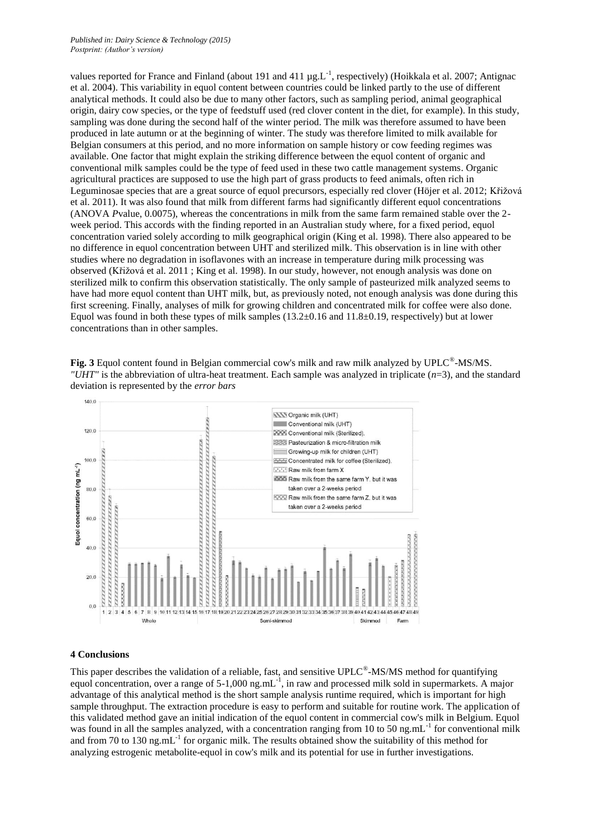#### *Published in: Dairy Science & Technology (2015) Postprint: (Author's version)*

values reported for France and Finland (about 191 and 411  $\mu g$ .L<sup>-1</sup>, respectively) (Hoikkala et al. 2007; Antignac et al. 2004). This variability in equol content between countries could be linked partly to the use of different analytical methods. It could also be due to many other factors, such as sampling period, animal geographical origin, dairy cow species, or the type of feedstuff used (red clover content in the diet, for example). In this study, sampling was done during the second half of the winter period. The milk was therefore assumed to have been produced in late autumn or at the beginning of winter. The study was therefore limited to milk available for Belgian consumers at this period, and no more information on sample history or cow feeding regimes was available. One factor that might explain the striking difference between the equol content of organic and conventional milk samples could be the type of feed used in these two cattle management systems. Organic agricultural practices are supposed to use the high part of grass products to feed animals, often rich in Leguminosae species that are a great source of equol precursors, especially red clover (Höjer et al. 2012; Křižová et al. 2011). It was also found that milk from different farms had significantly different equol concentrations (ANOVA *P*value, 0.0075), whereas the concentrations in milk from the same farm remained stable over the 2 week period. This accords with the finding reported in an Australian study where, for a fixed period, equol concentration varied solely according to milk geographical origin (King et al. 1998). There also appeared to be no difference in equol concentration between UHT and sterilized milk. This observation is in line with other studies where no degradation in isoflavones with an increase in temperature during milk processing was observed (Křižová et al. 2011 ; King et al. 1998). In our study, however, not enough analysis was done on sterilized milk to confirm this observation statistically. The only sample of pasteurized milk analyzed seems to have had more equol content than UHT milk, but, as previously noted, not enough analysis was done during this first screening. Finally, analyses of milk for growing children and concentrated milk for coffee were also done. Equol was found in both these types of milk samples (13.2±0.16 and 11.8±0.19, respectively) but at lower concentrations than in other samples.

Fig. 3 Equol content found in Belgian commercial cow's milk and raw milk analyzed by UPLC<sup>®</sup>-MS/MS. *"UHT"* is the abbreviation of ultra-heat treatment. Each sample was analyzed in triplicate (*n*=3), and the standard deviation is represented by the *error bars*



#### **4 Conclusions**

This paper describes the validation of a reliable, fast, and sensitive UPLC<sup>®</sup>-MS/MS method for quantifying equol concentration, over a range of 5-1,000 ng.mL<sup>-1</sup>, in raw and processed milk sold in supermarkets. A major advantage of this analytical method is the short sample analysis runtime required, which is important for high sample throughput. The extraction procedure is easy to perform and suitable for routine work. The application of this validated method gave an initial indication of the equol content in commercial cow's milk in Belgium. Equol was found in all the samples analyzed, with a concentration ranging from 10 to 50 ng.mL<sup>-1</sup> for conventional milk and from 70 to 130 ng.m $L^{-1}$  for organic milk. The results obtained show the suitability of this method for analyzing estrogenic metabolite-equol in cow's milk and its potential for use in further investigations.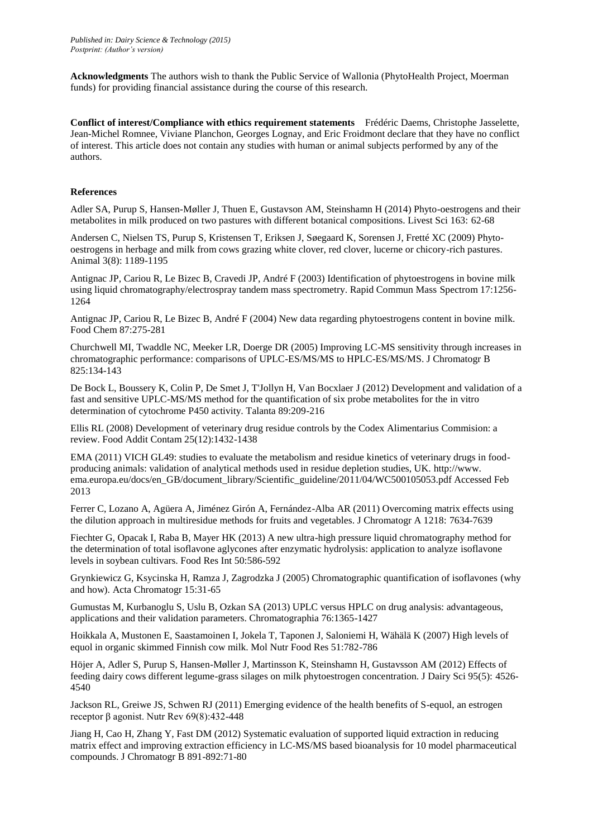**Acknowledgments** The authors wish to thank the Public Service of Wallonia (PhytoHealth Project, Moerman funds) for providing financial assistance during the course of this research.

**Conflict of interest/Compliance with ethics requirement statements** Frédéric Daems, Christophe Jasselette, Jean-Michel Romnee, Viviane Planchon, Georges Lognay, and Eric Froidmont declare that they have no conflict of interest. This article does not contain any studies with human or animal subjects performed by any of the authors.

#### **References**

Adler SA, Purup S, Hansen-Møller J, Thuen E, Gustavson AM, Steinshamn H (2014) Phyto-oestrogens and their metabolites in milk produced on two pastures with different botanical compositions. Livest Sci 163: 62-68

Andersen C, Nielsen TS, Purup S, Kristensen T, Eriksen J, Søegaard K, Sorensen J, Fretté XC (2009) Phytooestrogens in herbage and milk from cows grazing white clover, red clover, lucerne or chicory-rich pastures. Animal 3(8): 1189-1195

Antignac JP, Cariou R, Le Bizec B, Cravedi JP, André F (2003) Identification of phytoestrogens in bovine milk using liquid chromatography/electrospray tandem mass spectrometry. Rapid Commun Mass Spectrom 17:1256- 1264

Antignac JP, Cariou R, Le Bizec B, André F (2004) New data regarding phytoestrogens content in bovine milk. Food Chem 87:275-281

Churchwell MI, Twaddle NC, Meeker LR, Doerge DR (2005) Improving LC-MS sensitivity through increases in chromatographic performance: comparisons of UPLC-ES/MS/MS to HPLC-ES/MS/MS. J Chromatogr B 825:134-143

De Bock L, Boussery K, Colin P, De Smet J, T'Jollyn H, Van Bocxlaer J (2012) Development and validation of a fast and sensitive UPLC-MS/MS method for the quantification of six probe metabolites for the in vitro determination of cytochrome P450 activity. Talanta 89:209-216

Ellis RL (2008) Development of veterinary drug residue controls by the Codex Alimentarius Commision: a review. Food Addit Contam 25(12):1432-1438

EMA (2011) VICH GL49: studies to evaluate the metabolism and residue kinetics of veterinary drugs in foodproducing animals: validation of analytical methods used in residue depletion studies, UK. [http://www.](http://www/) [ema.europa.eu/docs/en\\_GB/document\\_library/Scientific\\_guideline/2011/04/WC5001](../../chalonod/Desktop/ema.europa.eu/docs/en_GB/document_library/Scientific_guideline/2011/04/WC500)05053.pdf Accessed Feb 2013

Ferrer C, Lozano A, Agüera A, Jiménez Girón A, Fernández-Alba AR (2011) Overcoming matrix effects using the dilution approach in multiresidue methods for fruits and vegetables. J Chromatogr A 1218: 7634-7639

Fiechter G, Opacak I, Raba B, Mayer HK (2013) A new ultra-high pressure liquid chromatography method for the determination of total isoflavone aglycones after enzymatic hydrolysis: application to analyze isoflavone levels in soybean cultivars. Food Res Int 50:586-592

Grynkiewicz G, Ksycinska H, Ramza J, Zagrodzka J (2005) Chromatographic quantification of isoflavones (why and how). Acta Chromatogr 15:31-65

Gumustas M, Kurbanoglu S, Uslu B, Ozkan SA (2013) UPLC versus HPLC on drug analysis: advantageous, applications and their validation parameters. Chromatographia 76:1365-1427

Hoikkala A, Mustonen E, Saastamoinen I, Jokela T, Taponen J, Saloniemi H, Wähälä K (2007) High levels of equol in organic skimmed Finnish cow milk. Mol Nutr Food Res 51:782-786

Höjer A, Adler S, Purup S, Hansen-Møller J, Martinsson K, Steinshamn H, Gustavsson AM (2012) Effects of feeding dairy cows different legume-grass silages on milk phytoestrogen concentration. J Dairy Sci 95(5): 4526- 4540

Jackson RL, Greiwe JS, Schwen RJ (2011) Emerging evidence of the health benefits of S-equol, an estrogen receptor β agonist. Nutr Rev 69(8):432-448

Jiang H, Cao H, Zhang Y, Fast DM (2012) Systematic evaluation of supported liquid extraction in reducing matrix effect and improving extraction efficiency in LC-MS/MS based bioanalysis for 10 model pharmaceutical compounds. J Chromatogr B 891-892:71-80